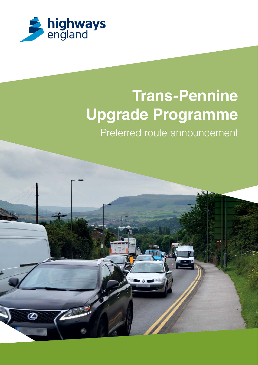

# **Trans-Pennine Upgrade Programme**

Preferred route announcement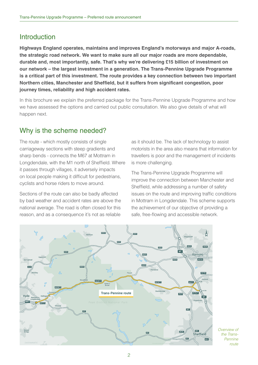## Introduction

**Highways England operates, maintains and improves England's motorways and major A-roads, the strategic road network. We want to make sure all our major roads are more dependable, durable and, most importantly, safe. That's why we're delivering £15 billion of investment on our network – the largest investment in a generation. The Trans-Pennine Upgrade Programme is a critical part of this investment. The route provides a key connection between two important Northern cities, Manchester and Sheffield, but it suffers from significant congestion, poor journey times, reliability and high accident rates.**

In this brochure we explain the preferred package for the Trans-Pennine Upgrade Programme and how we have assessed the options and carried out public consultation. We also give details of what will happen next.

## Why is the scheme needed?

The route - which mostly consists of single carriageway sections with steep gradients and sharp bends - connects the M67 at Mottram in Longdendale, with the M1 north of Sheffield. Where it passes through villages, it adversely impacts on local people making it difficult for pedestrians, cyclists and horse riders to move around.

Sections of the route can also be badly affected by bad weather and accident rates are above the national average. The road is often closed for this reason, and as a consequence it's not as reliable

as it should be. The lack of technology to assist motorists in the area also means that information for travellers is poor and the management of incidents is more challenging.

The Trans-Pennine Upgrade Programme will improve the connection between Manchester and Sheffield, while addressing a number of safety issues on the route and improving traffic conditions in Mottram in Longdendale. This scheme supports the achievement of our objective of providing a safe, free-flowing and accessible network.



Overview of the Trans-Pennine route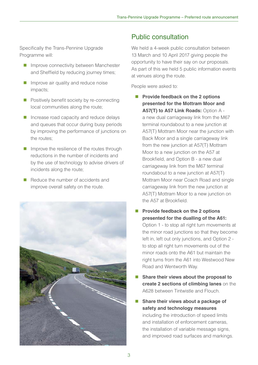Specifically the Trans-Pennine Upgrade Programme will:

- **Improve connectivity between Manchester** and Sheffield by reducing journey times;
- **Improve air quality and reduce noise** impacts;
- $\blacksquare$  Positively benefit society by re-connecting local communities along the route;
- Increase road capacity and reduce delays and queues that occur during busy periods by improving the performance of junctions on the routes;
- $\blacksquare$  Improve the resilience of the routes through reductions in the number of incidents and by the use of technology to advise drivers of incidents along the route;
- Reduce the number of accidents and improve overall safety on the route.



# Public consultation

We held a 4-week public consultation between 13 March and 10 April 2017 giving people the opportunity to have their say on our proposals. As part of this we held 5 public information events at venues along the route.

People were asked to:

- **Provide feedback on the 2 options presented for the Mottram Moor and A57(T) to A57 Link Roads:** Option A a new dual carriageway link from the M67 terminal roundabout to a new junction at A57(T) Mottram Moor near the junction with Back Moor and a single carriageway link from the new junction at A57(T) Mottram Moor to a new junction on the A57 at Brookfield, and Option B - a new dual carriageway link from the M67 terminal roundabout to a new junction at A57(T) Mottram Moor near Coach Road and single carriageway link from the new junction at A57(T) Mottram Moor to a new junction on the A57 at Brookfield.
- **Provide feedback on the 2 options presented for the dualling of the A61:**  Option 1 - to stop all right turn movements at the minor road junctions so that they become left in, left out only junctions, and Option 2 to stop all right turn movements out of the minor roads onto the A61 but maintain the right turns from the A61 into Westwood New Road and Wentworth Way.
- Share their views about the proposal to **create 2 sections of climbing lanes** on the A628 between Tintwistle and Flouch.
- Share their views about a package of **safety and technology measures**  including the introduction of speed limits and installation of enforcement cameras, the installation of variable message signs, and improved road surfaces and markings.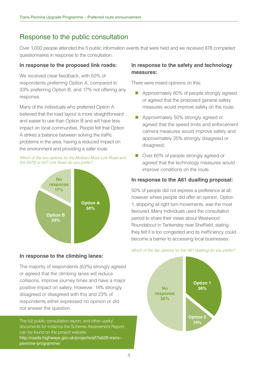## Response to the public consultation

Over 1,000 people attended the 5 public information events that were held and we received 878 completed questionnaires in response to the consultation.

#### **In response to the proposed link roads:**

We received clear feedback, with 50% of respondents preferring Option A, compared to 33% preferring Option B, and 17% not offering any response.

Many of the individuals who preferred Option A believed that the road layout is more straightforward and easier to use than Option B and will have less impact on local communities. People felt that Option A strikes a balance between solving the traffic problems in the area, having a reduced impact on the environment and providing a safer route.





### **In response to the climbing lanes:**

The majority of respondents (63%) strongly agreed or agreed that the climbing lanes will reduce collisions, improve journey times and have a major positive impact on safety. However, 14% strongly disagreed or disagreed with this and 23% of respondents either expressed no opinion or did not answer the question.

The full public consultation report, and other useful documents for instance the Scheme Assessment Report, can be found on the project website: http://roads.highways.gov.uk/projects/a57a628-transpennine-programme/

## **In response to the safety and technology measures:**

There were mixed opinions on this:

- Approximately 80% of people strongly agreed or agreed that the proposed general safety measures would improve safety on the route;
- Approximately 50% strongly agreed or agreed that the speed limits and enforcement camera measures would improve safety and approximately 25% strongly disagreed or disagreed;
- Over 60% of people strongly agreed or agreed that the technology measures would improve conditions on the route.

### **In response to the A61 dualling proposal:**

50% of people did not express a preference at all; however where people did offer an opinion, Option 1, stopping all right turn movements, was the most favoured. Many individuals used the consultation period to share their views about Westwood Roundabout in Tankersley near Sheffield, stating they felt it is too congested and its inefficiency could become a barrier to accessing local businesses.

#### Which of the two options for the A61 dualling do you prefer?

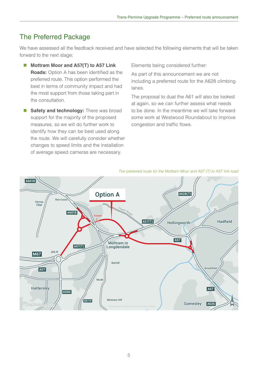## The Preferred Package

We have assessed all the feedback received and have selected the following elements that will be taken forward to the next stage:

- Mottram Moor and A57(T) to A57 Link **Roads:** Option A has been identified as the preferred route. This option performed the best in terms of community impact and had the most support from those taking part in the consultation.
- **Safety and technology:** There was broad support for the majority of the proposed measures, so we will do further work to identify how they can be best used along the route. We will carefully consider whether changes to speed limits and the installation of average speed cameras are necessary.

Elements being considered further:

As part of this announcement we are not including a preferred route for the A628 climbing lanes.

The proposal to dual the A61 will also be looked at again, so we can further assess what needs to be done. In the meantime we will take forward some work at Westwood Roundabout to improve congestion and traffic flows.



#### The preferred route for the Mottram Moor and A57 (T) to A57 link road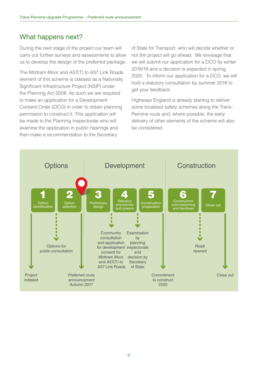## What happens next?

During the next stage of the project our team will carry out further surveys and assessments to allow us to develop the design of the preferred package.

The Mottram Moor and A57(T) to A57 Link Roads element of this scheme is classed as a Nationally Significant Infrastructure Project (NSIP) under the Planning Act 2008. As such we are required to make an application for a Development Consent Order (DCO) in order to obtain planning permission to construct it. This application will be made to the Planning Inspectorate who will examine the application in public hearings and then make a recommendation to the Secretary

of State for Transport, who will decide whether or not the project will go ahead. We envisage that we will submit our application for a DCO by winter 2018/19 and a decision is expected in spring 2020. To inform our application for a DCO, we will hold a statutory consultation by summer 2018 to get your feedback.

Highways England is already starting to deliver some localised safety schemes along the Trans-Pennine route and, where possible, the early delivery of other elements of the scheme will also be considered.

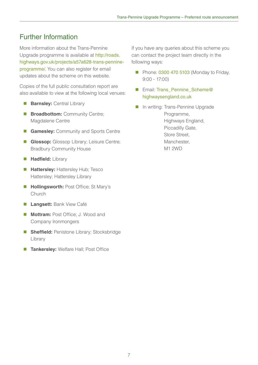## Further Information

More information about the Trans-Pennine Upgrade programme is available at http://roads. highways.gov.uk/projects/a57a628-trans-pennineprogramme/. You can also register for email updates about the scheme on this website.

Copies of the full public consultation report are also available to view at the following local venues:

- **Barnsley:** Central Library
- **Broadbottom:** Community Centre; Magdalene Centre
- **Gamesley: Community and Sports Centre**
- **Glossop:** Glossop Library; Leisure Centre; Bradbury Community House
- **Hadfield:** Library
- **Hattersley: Hattersley Hub; Tesco** Hattersley; Hattersley Library
- **Hollingsworth:** Post Office; St Mary's Church
- **Langsett:** Bank View Café
- **Mottram: Post Office; J. Wood and** Company Ironmongers
- **Sheffield:** Penistone Library; Stocksbridge Library
- **Tankersley:** Welfare Hall; Post Office

If you have any queries about this scheme you can contact the project team directly in the following ways:

- Phone: 0300 470 5103 (Monday to Friday,  $9:00 - 17:00$
- Email: Trans\_Pennine\_Scheme@ highwaysengland.co.uk
- **In writing: Trans-Pennine Upgrade** Programme, Highways England, Piccadilly Gate, Store Street, Manchester, M1 2WD